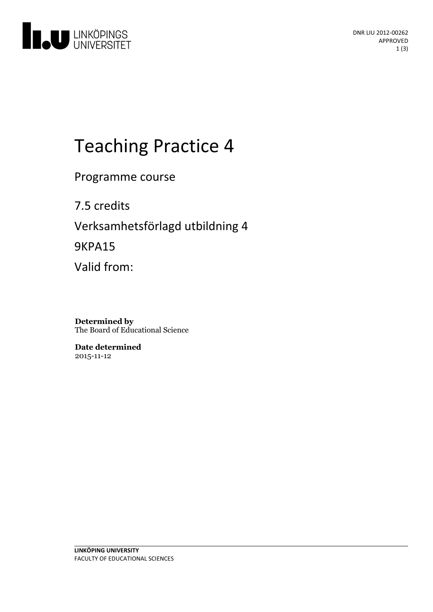

# Teaching Practice 4

Programme course

7.5 credits Verksamhetsförlagd utbildning 4 9KPA15 Valid from:

**Determined by** The Board of Educational Science

**Date determined** 2015-11-12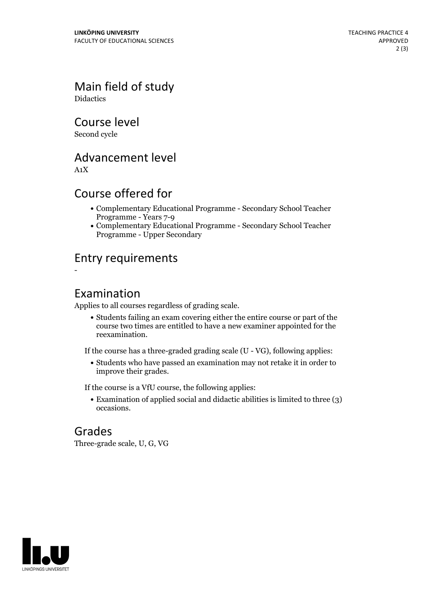Main field of study **Didactics** 

Course level

Second cycle

Advancement level

A1X

-

## Course offered for

- Complementary Educational Programme Secondary School Teacher Programme - Years 7-9
- Complementary Educational Programme Secondary School Teacher Programme - Upper Secondary

# Entry requirements

#### Examination

Applies to all courses regardless of grading scale.

Students failing an exam covering either the entire course or part of the course two times are entitled to have a new examiner appointed for the reexamination.

If the course has a three-graded grading scale (U - VG), following applies:

Students who have passed an examination may not retake it in order to improve their grades.

If the course is a VfU course, the following applies:

Examination of applied social and didactic abilities is limited to three (3) occasions.

## Grades

Three-grade scale, U, G, VG